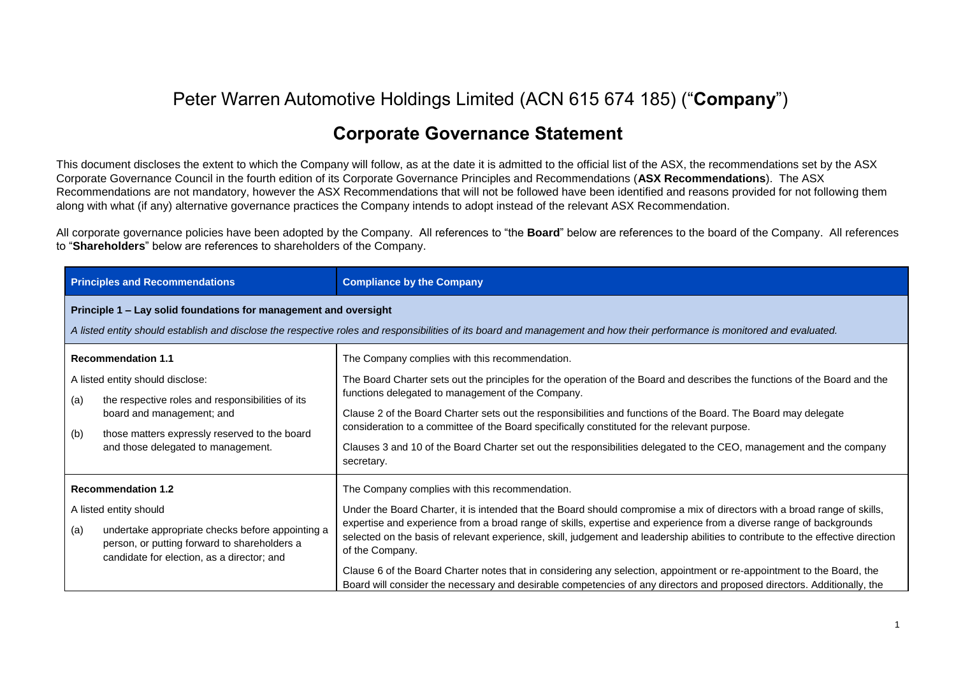## Peter Warren Automotive Holdings Limited (ACN 615 674 185) ("**Company**")

## **Corporate Governance Statement**

This document discloses the extent to which the Company will follow, as at the date it is admitted to the official list of the ASX, the recommendations set by the ASX Corporate Governance Council in the fourth edition of its Corporate Governance Principles and Recommendations (**ASX Recommendations**). The ASX Recommendations are not mandatory, however the ASX Recommendations that will not be followed have been identified and reasons provided for not following them along with what (if any) alternative governance practices the Company intends to adopt instead of the relevant ASX Recommendation.

All corporate governance policies have been adopted by the Company. All references to "the **Board**" below are references to the board of the Company. All references to "**Shareholders**" below are references to shareholders of the Company.

| <b>Principles and Recommendations</b>                                                                                                                                                                                                               | <b>Compliance by the Company</b>                                                                                                                                                                                                                                                                                                                                                                                                                                                                                                                                                                                                                                                                               |  |
|-----------------------------------------------------------------------------------------------------------------------------------------------------------------------------------------------------------------------------------------------------|----------------------------------------------------------------------------------------------------------------------------------------------------------------------------------------------------------------------------------------------------------------------------------------------------------------------------------------------------------------------------------------------------------------------------------------------------------------------------------------------------------------------------------------------------------------------------------------------------------------------------------------------------------------------------------------------------------------|--|
| Principle 1 - Lay solid foundations for management and oversight<br>A listed entity should establish and disclose the respective roles and responsibilities of its board and management and how their performance is monitored and evaluated.       |                                                                                                                                                                                                                                                                                                                                                                                                                                                                                                                                                                                                                                                                                                                |  |
| <b>Recommendation 1.1</b><br>A listed entity should disclose:<br>the respective roles and responsibilities of its<br>(a)<br>board and management; and<br>those matters expressly reserved to the board<br>(b)<br>and those delegated to management. | The Company complies with this recommendation.<br>The Board Charter sets out the principles for the operation of the Board and describes the functions of the Board and the<br>functions delegated to management of the Company.<br>Clause 2 of the Board Charter sets out the responsibilities and functions of the Board. The Board may delegate<br>consideration to a committee of the Board specifically constituted for the relevant purpose.<br>Clauses 3 and 10 of the Board Charter set out the responsibilities delegated to the CEO, management and the company<br>secretary.                                                                                                                        |  |
| <b>Recommendation 1.2</b><br>A listed entity should<br>(a)<br>undertake appropriate checks before appointing a<br>person, or putting forward to shareholders a<br>candidate for election, as a director; and                                        | The Company complies with this recommendation.<br>Under the Board Charter, it is intended that the Board should compromise a mix of directors with a broad range of skills,<br>expertise and experience from a broad range of skills, expertise and experience from a diverse range of backgrounds<br>selected on the basis of relevant experience, skill, judgement and leadership abilities to contribute to the effective direction<br>of the Company.<br>Clause 6 of the Board Charter notes that in considering any selection, appointment or re-appointment to the Board, the<br>Board will consider the necessary and desirable competencies of any directors and proposed directors. Additionally, the |  |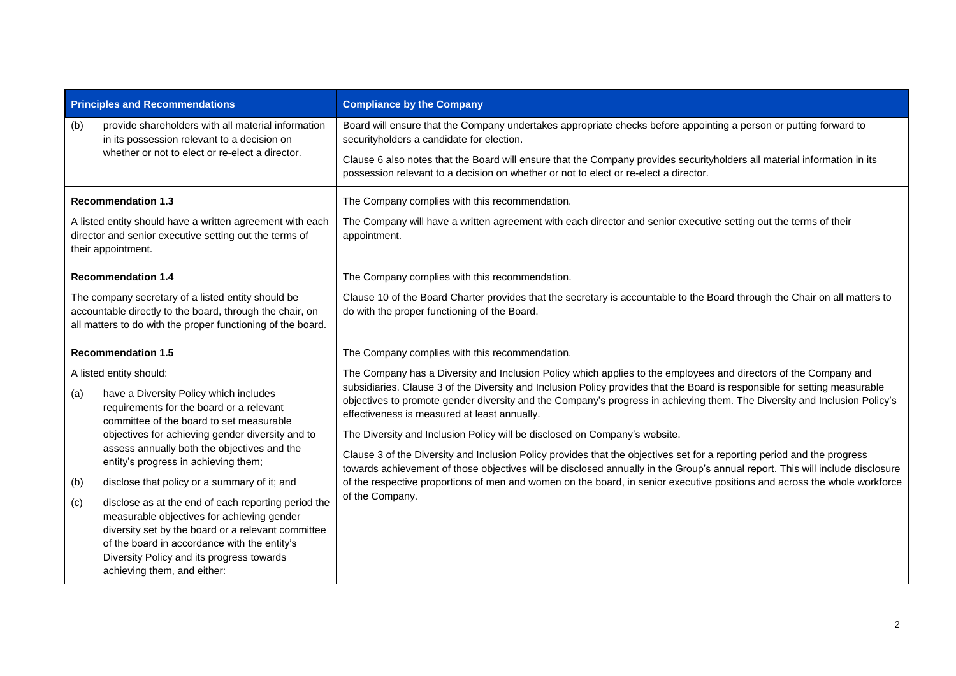| <b>Principles and Recommendations</b>                                                                                                                                                                                                                                                                                                                                                                                                                                                                                                                                                                                                                                                         | <b>Compliance by the Company</b>                                                                                                                                                                                                                                                                                                                                                                                                                                                                                                                                                                                                                                                                                                                                                                                                                                                                                                                                        |
|-----------------------------------------------------------------------------------------------------------------------------------------------------------------------------------------------------------------------------------------------------------------------------------------------------------------------------------------------------------------------------------------------------------------------------------------------------------------------------------------------------------------------------------------------------------------------------------------------------------------------------------------------------------------------------------------------|-------------------------------------------------------------------------------------------------------------------------------------------------------------------------------------------------------------------------------------------------------------------------------------------------------------------------------------------------------------------------------------------------------------------------------------------------------------------------------------------------------------------------------------------------------------------------------------------------------------------------------------------------------------------------------------------------------------------------------------------------------------------------------------------------------------------------------------------------------------------------------------------------------------------------------------------------------------------------|
| (b)<br>provide shareholders with all material information<br>in its possession relevant to a decision on<br>whether or not to elect or re-elect a director.                                                                                                                                                                                                                                                                                                                                                                                                                                                                                                                                   | Board will ensure that the Company undertakes appropriate checks before appointing a person or putting forward to<br>securityholders a candidate for election.<br>Clause 6 also notes that the Board will ensure that the Company provides securityholders all material information in its<br>possession relevant to a decision on whether or not to elect or re-elect a director.                                                                                                                                                                                                                                                                                                                                                                                                                                                                                                                                                                                      |
| <b>Recommendation 1.3</b><br>A listed entity should have a written agreement with each<br>director and senior executive setting out the terms of<br>their appointment.                                                                                                                                                                                                                                                                                                                                                                                                                                                                                                                        | The Company complies with this recommendation.<br>The Company will have a written agreement with each director and senior executive setting out the terms of their<br>appointment.                                                                                                                                                                                                                                                                                                                                                                                                                                                                                                                                                                                                                                                                                                                                                                                      |
| <b>Recommendation 1.4</b><br>The company secretary of a listed entity should be<br>accountable directly to the board, through the chair, on<br>all matters to do with the proper functioning of the board.                                                                                                                                                                                                                                                                                                                                                                                                                                                                                    | The Company complies with this recommendation.<br>Clause 10 of the Board Charter provides that the secretary is accountable to the Board through the Chair on all matters to<br>do with the proper functioning of the Board.                                                                                                                                                                                                                                                                                                                                                                                                                                                                                                                                                                                                                                                                                                                                            |
| <b>Recommendation 1.5</b><br>A listed entity should:<br>have a Diversity Policy which includes<br>(a)<br>requirements for the board or a relevant<br>committee of the board to set measurable<br>objectives for achieving gender diversity and to<br>assess annually both the objectives and the<br>entity's progress in achieving them;<br>(b)<br>disclose that policy or a summary of it; and<br>disclose as at the end of each reporting period the<br>(c)<br>measurable objectives for achieving gender<br>diversity set by the board or a relevant committee<br>of the board in accordance with the entity's<br>Diversity Policy and its progress towards<br>achieving them, and either: | The Company complies with this recommendation.<br>The Company has a Diversity and Inclusion Policy which applies to the employees and directors of the Company and<br>subsidiaries. Clause 3 of the Diversity and Inclusion Policy provides that the Board is responsible for setting measurable<br>objectives to promote gender diversity and the Company's progress in achieving them. The Diversity and Inclusion Policy's<br>effectiveness is measured at least annually.<br>The Diversity and Inclusion Policy will be disclosed on Company's website.<br>Clause 3 of the Diversity and Inclusion Policy provides that the objectives set for a reporting period and the progress<br>towards achievement of those objectives will be disclosed annually in the Group's annual report. This will include disclosure<br>of the respective proportions of men and women on the board, in senior executive positions and across the whole workforce<br>of the Company. |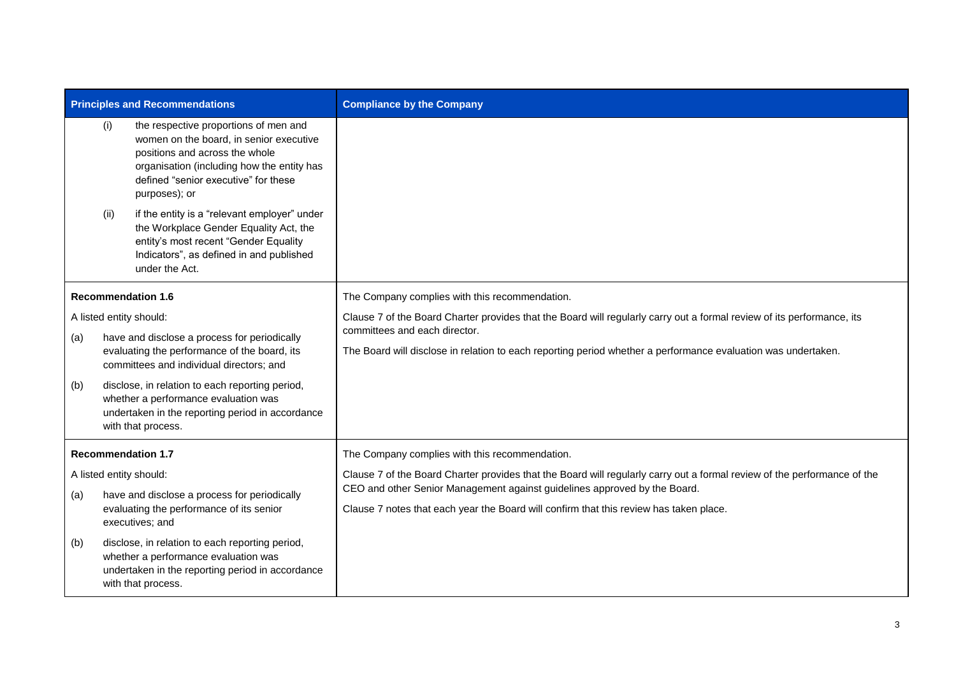| <b>Principles and Recommendations</b> |      |                                                                                                                                                                                                                           | <b>Compliance by the Company</b>                                                                                                                                    |
|---------------------------------------|------|---------------------------------------------------------------------------------------------------------------------------------------------------------------------------------------------------------------------------|---------------------------------------------------------------------------------------------------------------------------------------------------------------------|
|                                       | (i)  | the respective proportions of men and<br>women on the board, in senior executive<br>positions and across the whole<br>organisation (including how the entity has<br>defined "senior executive" for these<br>purposes); or |                                                                                                                                                                     |
|                                       | (ii) | if the entity is a "relevant employer" under<br>the Workplace Gender Equality Act, the<br>entity's most recent "Gender Equality<br>Indicators", as defined in and published<br>under the Act.                             |                                                                                                                                                                     |
|                                       |      | <b>Recommendation 1.6</b>                                                                                                                                                                                                 | The Company complies with this recommendation.                                                                                                                      |
|                                       |      | A listed entity should:                                                                                                                                                                                                   | Clause 7 of the Board Charter provides that the Board will regularly carry out a formal review of its performance, its                                              |
| (a)                                   |      | have and disclose a process for periodically<br>evaluating the performance of the board, its<br>committees and individual directors; and                                                                                  | committees and each director.<br>The Board will disclose in relation to each reporting period whether a performance evaluation was undertaken.                      |
| (b)                                   |      | disclose, in relation to each reporting period,<br>whether a performance evaluation was<br>undertaken in the reporting period in accordance<br>with that process.                                                         |                                                                                                                                                                     |
| <b>Recommendation 1.7</b>             |      |                                                                                                                                                                                                                           | The Company complies with this recommendation.                                                                                                                      |
|                                       |      | A listed entity should:                                                                                                                                                                                                   | Clause 7 of the Board Charter provides that the Board will regularly carry out a formal review of the performance of the                                            |
| (a)                                   |      | have and disclose a process for periodically<br>evaluating the performance of its senior<br>executives; and                                                                                                               | CEO and other Senior Management against guidelines approved by the Board.<br>Clause 7 notes that each year the Board will confirm that this review has taken place. |
| (b)                                   |      | disclose, in relation to each reporting period,<br>whether a performance evaluation was<br>undertaken in the reporting period in accordance<br>with that process.                                                         |                                                                                                                                                                     |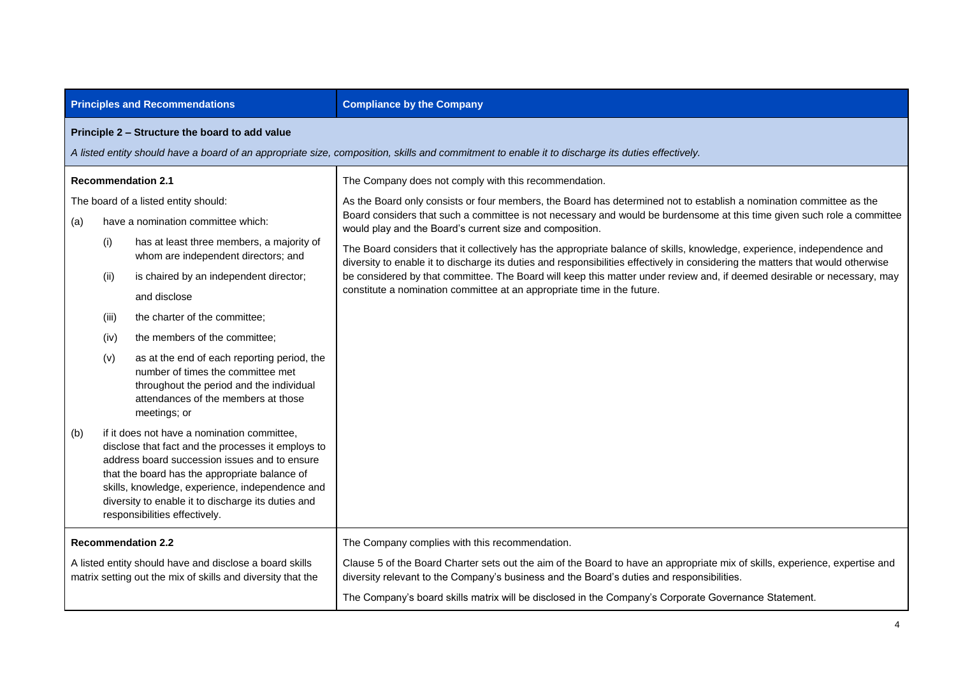|                                                                                                                        |                                                                                                                                                                                                    | <b>Principles and Recommendations</b>                                                                                                                                                                                                                                                                                                         | <b>Compliance by the Company</b>                                                                                                                                                                                                                           |
|------------------------------------------------------------------------------------------------------------------------|----------------------------------------------------------------------------------------------------------------------------------------------------------------------------------------------------|-----------------------------------------------------------------------------------------------------------------------------------------------------------------------------------------------------------------------------------------------------------------------------------------------------------------------------------------------|------------------------------------------------------------------------------------------------------------------------------------------------------------------------------------------------------------------------------------------------------------|
|                                                                                                                        | Principle 2 - Structure the board to add value<br>A listed entity should have a board of an appropriate size, composition, skills and commitment to enable it to discharge its duties effectively. |                                                                                                                                                                                                                                                                                                                                               |                                                                                                                                                                                                                                                            |
|                                                                                                                        |                                                                                                                                                                                                    | <b>Recommendation 2.1</b>                                                                                                                                                                                                                                                                                                                     | The Company does not comply with this recommendation.                                                                                                                                                                                                      |
|                                                                                                                        |                                                                                                                                                                                                    | The board of a listed entity should:                                                                                                                                                                                                                                                                                                          | As the Board only consists or four members, the Board has determined not to establish a nomination committee as the                                                                                                                                        |
| (a)                                                                                                                    |                                                                                                                                                                                                    | have a nomination committee which:                                                                                                                                                                                                                                                                                                            | Board considers that such a committee is not necessary and would be burdensome at this time given such role a committee<br>would play and the Board's current size and composition.                                                                        |
|                                                                                                                        | (i)                                                                                                                                                                                                | has at least three members, a majority of<br>whom are independent directors; and                                                                                                                                                                                                                                                              | The Board considers that it collectively has the appropriate balance of skills, knowledge, experience, independence and<br>diversity to enable it to discharge its duties and responsibilities effectively in considering the matters that would otherwise |
|                                                                                                                        | (ii)                                                                                                                                                                                               | is chaired by an independent director;                                                                                                                                                                                                                                                                                                        | be considered by that committee. The Board will keep this matter under review and, if deemed desirable or necessary, may                                                                                                                                   |
|                                                                                                                        |                                                                                                                                                                                                    | and disclose                                                                                                                                                                                                                                                                                                                                  | constitute a nomination committee at an appropriate time in the future.                                                                                                                                                                                    |
|                                                                                                                        | (iii)                                                                                                                                                                                              | the charter of the committee;                                                                                                                                                                                                                                                                                                                 |                                                                                                                                                                                                                                                            |
|                                                                                                                        | (iv)                                                                                                                                                                                               | the members of the committee;                                                                                                                                                                                                                                                                                                                 |                                                                                                                                                                                                                                                            |
|                                                                                                                        | (v)                                                                                                                                                                                                | as at the end of each reporting period, the<br>number of times the committee met<br>throughout the period and the individual<br>attendances of the members at those<br>meetings; or                                                                                                                                                           |                                                                                                                                                                                                                                                            |
| (b)                                                                                                                    |                                                                                                                                                                                                    | if it does not have a nomination committee,<br>disclose that fact and the processes it employs to<br>address board succession issues and to ensure<br>that the board has the appropriate balance of<br>skills, knowledge, experience, independence and<br>diversity to enable it to discharge its duties and<br>responsibilities effectively. |                                                                                                                                                                                                                                                            |
| <b>Recommendation 2.2</b>                                                                                              |                                                                                                                                                                                                    |                                                                                                                                                                                                                                                                                                                                               | The Company complies with this recommendation.                                                                                                                                                                                                             |
| A listed entity should have and disclose a board skills<br>matrix setting out the mix of skills and diversity that the |                                                                                                                                                                                                    |                                                                                                                                                                                                                                                                                                                                               | Clause 5 of the Board Charter sets out the aim of the Board to have an appropriate mix of skills, experience, expertise and<br>diversity relevant to the Company's business and the Board's duties and responsibilities.                                   |
|                                                                                                                        |                                                                                                                                                                                                    |                                                                                                                                                                                                                                                                                                                                               | The Company's board skills matrix will be disclosed in the Company's Corporate Governance Statement.                                                                                                                                                       |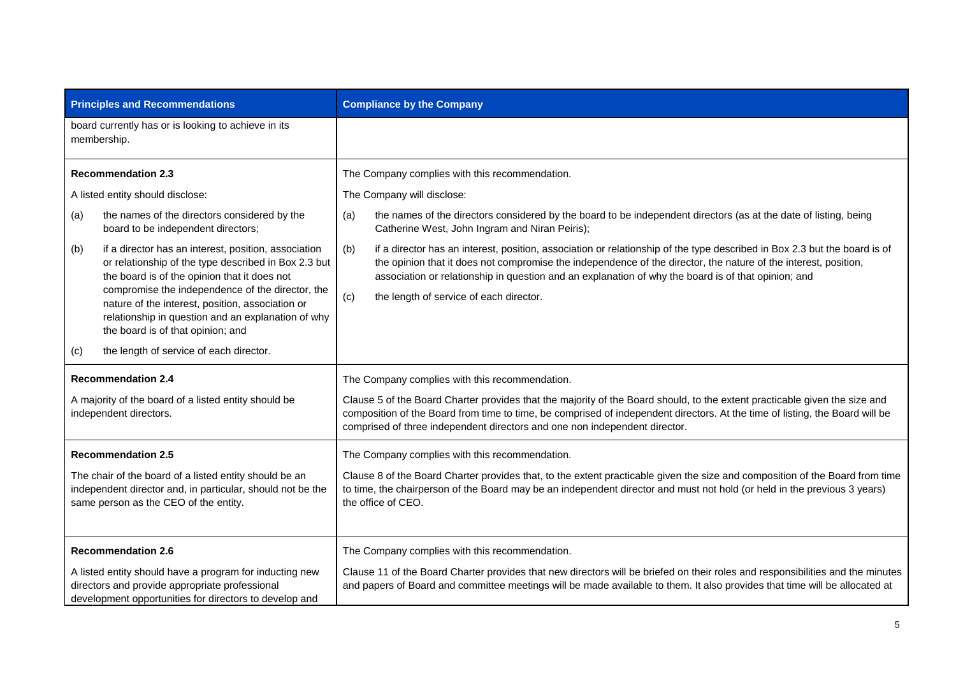| <b>Principles and Recommendations</b>                                                                                                                               |                                                                                                                                                                                                                                                                                                                                                                 | <b>Compliance by the Company</b>                                                                                                                                                                                                                                                                                                                                                                             |
|---------------------------------------------------------------------------------------------------------------------------------------------------------------------|-----------------------------------------------------------------------------------------------------------------------------------------------------------------------------------------------------------------------------------------------------------------------------------------------------------------------------------------------------------------|--------------------------------------------------------------------------------------------------------------------------------------------------------------------------------------------------------------------------------------------------------------------------------------------------------------------------------------------------------------------------------------------------------------|
| board currently has or is looking to achieve in its<br>membership.                                                                                                  |                                                                                                                                                                                                                                                                                                                                                                 |                                                                                                                                                                                                                                                                                                                                                                                                              |
|                                                                                                                                                                     | <b>Recommendation 2.3</b>                                                                                                                                                                                                                                                                                                                                       | The Company complies with this recommendation.                                                                                                                                                                                                                                                                                                                                                               |
|                                                                                                                                                                     | A listed entity should disclose:                                                                                                                                                                                                                                                                                                                                | The Company will disclose:                                                                                                                                                                                                                                                                                                                                                                                   |
| (a)                                                                                                                                                                 | the names of the directors considered by the<br>board to be independent directors;                                                                                                                                                                                                                                                                              | the names of the directors considered by the board to be independent directors (as at the date of listing, being<br>(a)<br>Catherine West, John Ingram and Niran Peiris);                                                                                                                                                                                                                                    |
| (b)                                                                                                                                                                 | if a director has an interest, position, association<br>or relationship of the type described in Box 2.3 but<br>the board is of the opinion that it does not<br>compromise the independence of the director, the<br>nature of the interest, position, association or<br>relationship in question and an explanation of why<br>the board is of that opinion; and | if a director has an interest, position, association or relationship of the type described in Box 2.3 but the board is of<br>(b)<br>the opinion that it does not compromise the independence of the director, the nature of the interest, position,<br>association or relationship in question and an explanation of why the board is of that opinion; and<br>(c)<br>the length of service of each director. |
| (c)                                                                                                                                                                 | the length of service of each director.                                                                                                                                                                                                                                                                                                                         |                                                                                                                                                                                                                                                                                                                                                                                                              |
| <b>Recommendation 2.4</b><br>A majority of the board of a listed entity should be<br>independent directors.                                                         |                                                                                                                                                                                                                                                                                                                                                                 | The Company complies with this recommendation.<br>Clause 5 of the Board Charter provides that the majority of the Board should, to the extent practicable given the size and<br>composition of the Board from time to time, be comprised of independent directors. At the time of listing, the Board will be<br>comprised of three independent directors and one non independent director.                   |
| <b>Recommendation 2.5</b>                                                                                                                                           |                                                                                                                                                                                                                                                                                                                                                                 | The Company complies with this recommendation.                                                                                                                                                                                                                                                                                                                                                               |
| The chair of the board of a listed entity should be an<br>independent director and, in particular, should not be the<br>same person as the CEO of the entity.       |                                                                                                                                                                                                                                                                                                                                                                 | Clause 8 of the Board Charter provides that, to the extent practicable given the size and composition of the Board from time<br>to time, the chairperson of the Board may be an independent director and must not hold (or held in the previous 3 years)<br>the office of CEO.                                                                                                                               |
|                                                                                                                                                                     | <b>Recommendation 2.6</b>                                                                                                                                                                                                                                                                                                                                       | The Company complies with this recommendation.                                                                                                                                                                                                                                                                                                                                                               |
| A listed entity should have a program for inducting new<br>directors and provide appropriate professional<br>development opportunities for directors to develop and |                                                                                                                                                                                                                                                                                                                                                                 | Clause 11 of the Board Charter provides that new directors will be briefed on their roles and responsibilities and the minutes<br>and papers of Board and committee meetings will be made available to them. It also provides that time will be allocated at                                                                                                                                                 |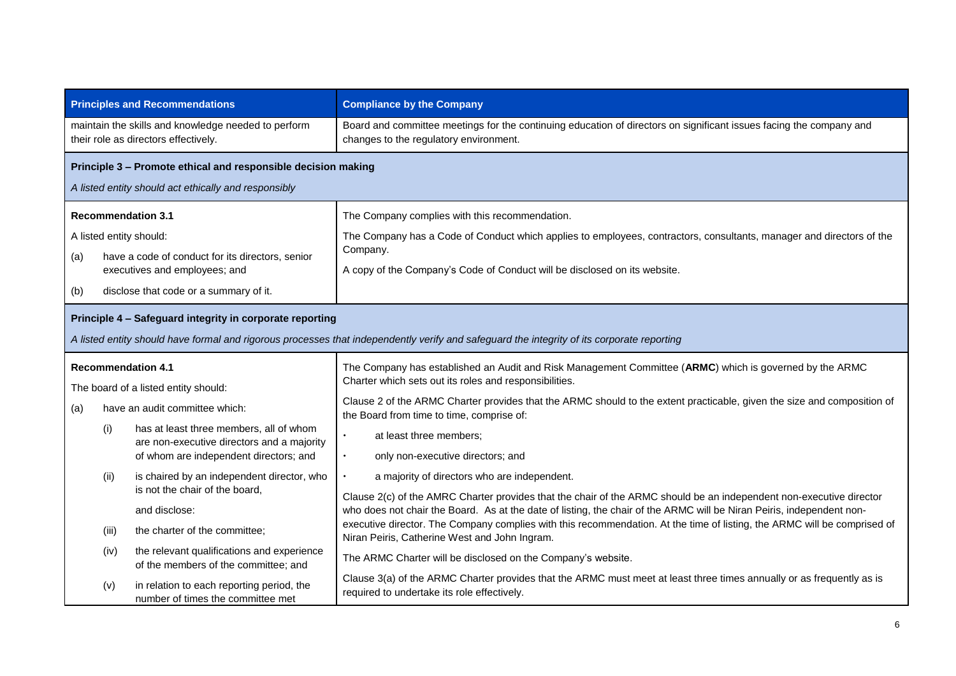|                                      | <b>Principles and Recommendations</b>                                                       | <b>Compliance by the Company</b>                                                                                                                                          |
|--------------------------------------|---------------------------------------------------------------------------------------------|---------------------------------------------------------------------------------------------------------------------------------------------------------------------------|
|                                      | maintain the skills and knowledge needed to perform<br>their role as directors effectively. | Board and committee meetings for the continuing education of directors on significant issues facing the company and<br>changes to the regulatory environment.             |
|                                      | Principle 3 - Promote ethical and responsible decision making                               |                                                                                                                                                                           |
|                                      | A listed entity should act ethically and responsibly                                        |                                                                                                                                                                           |
| <b>Recommendation 3.1</b>            |                                                                                             | The Company complies with this recommendation.                                                                                                                            |
| A listed entity should:              |                                                                                             | The Company has a Code of Conduct which applies to employees, contractors, consultants, manager and directors of the                                                      |
| (a)                                  | have a code of conduct for its directors, senior                                            | Company.                                                                                                                                                                  |
| (b)                                  | executives and employees; and<br>disclose that code or a summary of it.                     | A copy of the Company's Code of Conduct will be disclosed on its website.                                                                                                 |
|                                      |                                                                                             |                                                                                                                                                                           |
|                                      | Principle 4 - Safeguard integrity in corporate reporting                                    |                                                                                                                                                                           |
|                                      |                                                                                             | A listed entity should have formal and rigorous processes that independently verify and safeguard the integrity of its corporate reporting                                |
| <b>Recommendation 4.1</b>            |                                                                                             | The Company has established an Audit and Risk Management Committee (ARMC) which is governed by the ARMC<br>Charter which sets out its roles and responsibilities.         |
| The board of a listed entity should: |                                                                                             |                                                                                                                                                                           |
| (a)                                  | have an audit committee which:                                                              | Clause 2 of the ARMC Charter provides that the ARMC should to the extent practicable, given the size and composition of<br>the Board from time to time, comprise of:      |
| (i)                                  | has at least three members, all of whom<br>are non-executive directors and a majority       | at least three members;<br>$\bullet$                                                                                                                                      |
|                                      | of whom are independent directors; and                                                      | only non-executive directors; and<br>$\bullet$                                                                                                                            |
| (ii)                                 | is chaired by an independent director, who                                                  | a majority of directors who are independent.                                                                                                                              |
|                                      | is not the chair of the board,                                                              | Clause 2(c) of the AMRC Charter provides that the chair of the ARMC should be an independent non-executive director                                                       |
|                                      | and disclose:                                                                               | who does not chair the Board. As at the date of listing, the chair of the ARMC will be Niran Peiris, independent non-                                                     |
| (iii)                                | the charter of the committee;                                                               | executive director. The Company complies with this recommendation. At the time of listing, the ARMC will be comprised of<br>Niran Peiris, Catherine West and John Ingram. |
| (iv)                                 | the relevant qualifications and experience<br>of the members of the committee; and          | The ARMC Charter will be disclosed on the Company's website.                                                                                                              |
| (v)                                  | in relation to each reporting period, the<br>number of times the committee met              | Clause 3(a) of the ARMC Charter provides that the ARMC must meet at least three times annually or as frequently as is<br>required to undertake its role effectively.      |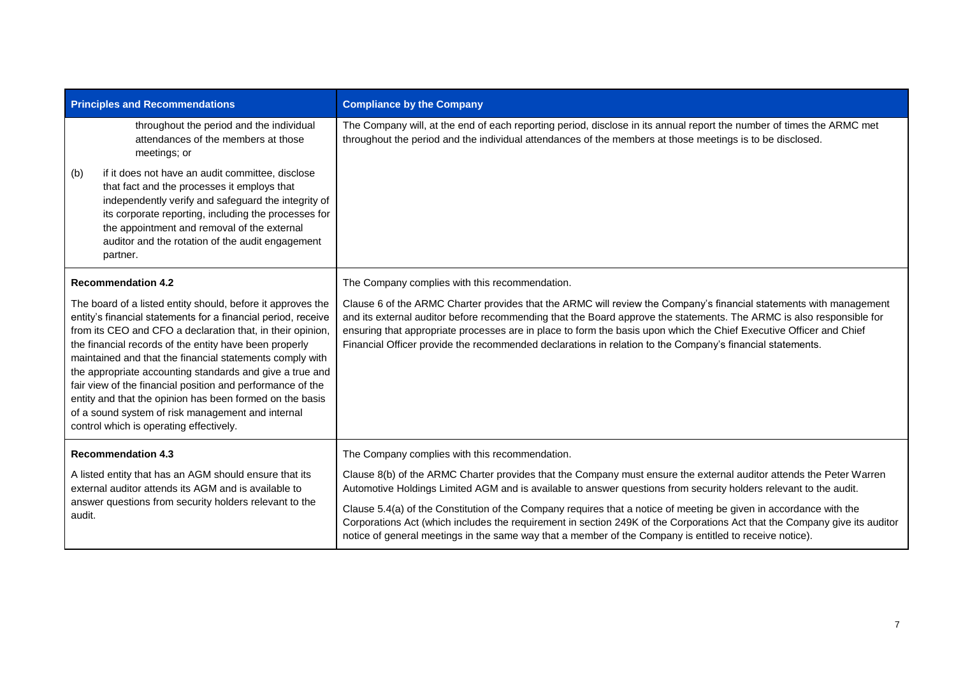| <b>Principles and Recommendations</b>                                                                                                                                                                                                                                                                                                                                                                                                                                                                                                                                                                  |                                                                                                                                                                                                                                                                                                                               | <b>Compliance by the Company</b>                                                                                                                                                                                                                                                                                                                                                                                                                                                                                                                                                                        |
|--------------------------------------------------------------------------------------------------------------------------------------------------------------------------------------------------------------------------------------------------------------------------------------------------------------------------------------------------------------------------------------------------------------------------------------------------------------------------------------------------------------------------------------------------------------------------------------------------------|-------------------------------------------------------------------------------------------------------------------------------------------------------------------------------------------------------------------------------------------------------------------------------------------------------------------------------|---------------------------------------------------------------------------------------------------------------------------------------------------------------------------------------------------------------------------------------------------------------------------------------------------------------------------------------------------------------------------------------------------------------------------------------------------------------------------------------------------------------------------------------------------------------------------------------------------------|
|                                                                                                                                                                                                                                                                                                                                                                                                                                                                                                                                                                                                        | throughout the period and the individual<br>attendances of the members at those<br>meetings; or                                                                                                                                                                                                                               | The Company will, at the end of each reporting period, disclose in its annual report the number of times the ARMC met<br>throughout the period and the individual attendances of the members at those meetings is to be disclosed.                                                                                                                                                                                                                                                                                                                                                                      |
| (b)                                                                                                                                                                                                                                                                                                                                                                                                                                                                                                                                                                                                    | if it does not have an audit committee, disclose<br>that fact and the processes it employs that<br>independently verify and safeguard the integrity of<br>its corporate reporting, including the processes for<br>the appointment and removal of the external<br>auditor and the rotation of the audit engagement<br>partner. |                                                                                                                                                                                                                                                                                                                                                                                                                                                                                                                                                                                                         |
|                                                                                                                                                                                                                                                                                                                                                                                                                                                                                                                                                                                                        | <b>Recommendation 4.2</b>                                                                                                                                                                                                                                                                                                     | The Company complies with this recommendation.                                                                                                                                                                                                                                                                                                                                                                                                                                                                                                                                                          |
| The board of a listed entity should, before it approves the<br>entity's financial statements for a financial period, receive<br>from its CEO and CFO a declaration that, in their opinion,<br>the financial records of the entity have been properly<br>maintained and that the financial statements comply with<br>the appropriate accounting standards and give a true and<br>fair view of the financial position and performance of the<br>entity and that the opinion has been formed on the basis<br>of a sound system of risk management and internal<br>control which is operating effectively. |                                                                                                                                                                                                                                                                                                                               | Clause 6 of the ARMC Charter provides that the ARMC will review the Company's financial statements with management<br>and its external auditor before recommending that the Board approve the statements. The ARMC is also responsible for<br>ensuring that appropriate processes are in place to form the basis upon which the Chief Executive Officer and Chief<br>Financial Officer provide the recommended declarations in relation to the Company's financial statements.                                                                                                                          |
| <b>Recommendation 4.3</b>                                                                                                                                                                                                                                                                                                                                                                                                                                                                                                                                                                              |                                                                                                                                                                                                                                                                                                                               | The Company complies with this recommendation.                                                                                                                                                                                                                                                                                                                                                                                                                                                                                                                                                          |
| A listed entity that has an AGM should ensure that its<br>external auditor attends its AGM and is available to<br>answer questions from security holders relevant to the<br>audit.                                                                                                                                                                                                                                                                                                                                                                                                                     |                                                                                                                                                                                                                                                                                                                               | Clause 8(b) of the ARMC Charter provides that the Company must ensure the external auditor attends the Peter Warren<br>Automotive Holdings Limited AGM and is available to answer questions from security holders relevant to the audit.<br>Clause 5.4(a) of the Constitution of the Company requires that a notice of meeting be given in accordance with the<br>Corporations Act (which includes the requirement in section 249K of the Corporations Act that the Company give its auditor<br>notice of general meetings in the same way that a member of the Company is entitled to receive notice). |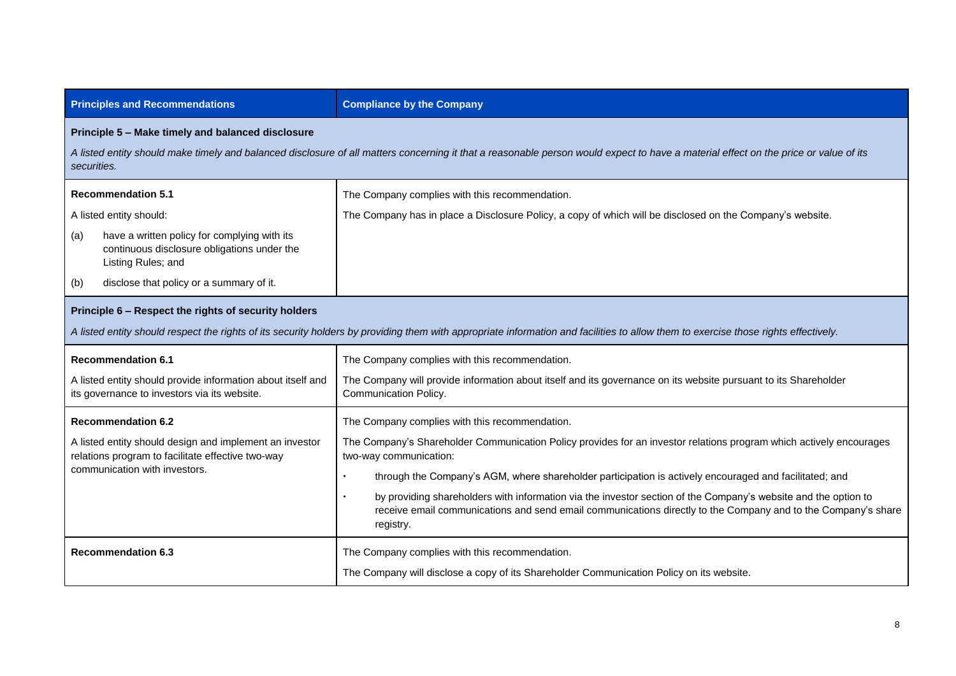| <b>Principles and Recommendations</b>                                                                                                                                                                                                                    | <b>Compliance by the Company</b>                                                                                                                                                                                                                                                                                                                                                                                                                                                                                                                          |  |
|----------------------------------------------------------------------------------------------------------------------------------------------------------------------------------------------------------------------------------------------------------|-----------------------------------------------------------------------------------------------------------------------------------------------------------------------------------------------------------------------------------------------------------------------------------------------------------------------------------------------------------------------------------------------------------------------------------------------------------------------------------------------------------------------------------------------------------|--|
| Principle 5 - Make timely and balanced disclosure<br>A listed entity should make timely and balanced disclosure of all matters concerning it that a reasonable person would expect to have a material effect on the price or value of its<br>securities. |                                                                                                                                                                                                                                                                                                                                                                                                                                                                                                                                                           |  |
| <b>Recommendation 5.1</b><br>A listed entity should:<br>have a written policy for complying with its<br>(a)<br>continuous disclosure obligations under the<br>Listing Rules; and<br>disclose that policy or a summary of it.<br>(b)                      | The Company complies with this recommendation.<br>The Company has in place a Disclosure Policy, a copy of which will be disclosed on the Company's website.                                                                                                                                                                                                                                                                                                                                                                                               |  |
| Principle 6 - Respect the rights of security holders<br>A listed entity should respect the rights of its security holders by providing them with appropriate information and facilities to allow them to exercise those rights effectively.              |                                                                                                                                                                                                                                                                                                                                                                                                                                                                                                                                                           |  |
| <b>Recommendation 6.1</b><br>A listed entity should provide information about itself and<br>its governance to investors via its website.                                                                                                                 | The Company complies with this recommendation.<br>The Company will provide information about itself and its governance on its website pursuant to its Shareholder<br>Communication Policy.                                                                                                                                                                                                                                                                                                                                                                |  |
| <b>Recommendation 6.2</b><br>A listed entity should design and implement an investor<br>relations program to facilitate effective two-way<br>communication with investors.                                                                               | The Company complies with this recommendation.<br>The Company's Shareholder Communication Policy provides for an investor relations program which actively encourages<br>two-way communication:<br>through the Company's AGM, where shareholder participation is actively encouraged and facilitated; and<br>by providing shareholders with information via the investor section of the Company's website and the option to<br>receive email communications and send email communications directly to the Company and to the Company's share<br>registry. |  |
| <b>Recommendation 6.3</b>                                                                                                                                                                                                                                | The Company complies with this recommendation.<br>The Company will disclose a copy of its Shareholder Communication Policy on its website.                                                                                                                                                                                                                                                                                                                                                                                                                |  |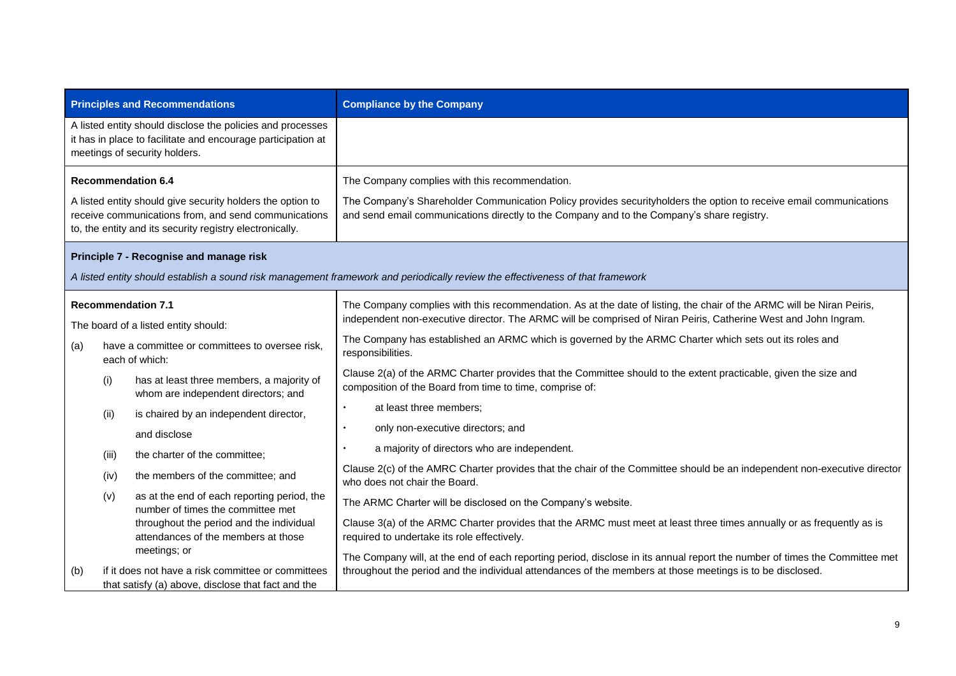|     |       | <b>Principles and Recommendations</b>                                                                                                                                          | <b>Compliance by the Company</b>                                                                                                                                                                                                        |
|-----|-------|--------------------------------------------------------------------------------------------------------------------------------------------------------------------------------|-----------------------------------------------------------------------------------------------------------------------------------------------------------------------------------------------------------------------------------------|
|     |       | A listed entity should disclose the policies and processes<br>it has in place to facilitate and encourage participation at<br>meetings of security holders.                    |                                                                                                                                                                                                                                         |
|     |       | <b>Recommendation 6.4</b>                                                                                                                                                      | The Company complies with this recommendation.                                                                                                                                                                                          |
|     |       | A listed entity should give security holders the option to<br>receive communications from, and send communications<br>to, the entity and its security registry electronically. | The Company's Shareholder Communication Policy provides securityholders the option to receive email communications<br>and send email communications directly to the Company and to the Company's share registry.                        |
|     |       | Principle 7 - Recognise and manage risk                                                                                                                                        |                                                                                                                                                                                                                                         |
|     |       |                                                                                                                                                                                | A listed entity should establish a sound risk management framework and periodically review the effectiveness of that framework                                                                                                          |
|     |       | <b>Recommendation 7.1</b>                                                                                                                                                      | The Company complies with this recommendation. As at the date of listing, the chair of the ARMC will be Niran Peiris,                                                                                                                   |
|     |       | The board of a listed entity should:                                                                                                                                           | independent non-executive director. The ARMC will be comprised of Niran Peiris, Catherine West and John Ingram.                                                                                                                         |
| (a) |       | have a committee or committees to oversee risk,<br>each of which:                                                                                                              | The Company has established an ARMC which is governed by the ARMC Charter which sets out its roles and<br>responsibilities.                                                                                                             |
|     | (i)   | has at least three members, a majority of<br>whom are independent directors; and                                                                                               | Clause 2(a) of the ARMC Charter provides that the Committee should to the extent practicable, given the size and<br>composition of the Board from time to time, comprise of:                                                            |
|     | (ii)  | is chaired by an independent director,                                                                                                                                         | at least three members;                                                                                                                                                                                                                 |
|     |       | and disclose                                                                                                                                                                   | only non-executive directors; and                                                                                                                                                                                                       |
|     | (iii) | the charter of the committee;                                                                                                                                                  | a majority of directors who are independent.                                                                                                                                                                                            |
|     | (iv)  | the members of the committee; and                                                                                                                                              | Clause 2(c) of the AMRC Charter provides that the chair of the Committee should be an independent non-executive director<br>who does not chair the Board.                                                                               |
|     | (v)   | as at the end of each reporting period, the<br>number of times the committee met                                                                                               | The ARMC Charter will be disclosed on the Company's website.                                                                                                                                                                            |
|     |       | throughout the period and the individual<br>attendances of the members at those                                                                                                | Clause 3(a) of the ARMC Charter provides that the ARMC must meet at least three times annually or as frequently as is<br>required to undertake its role effectively.                                                                    |
| (b) |       | meetings; or<br>if it does not have a risk committee or committees<br>that satisfy (a) above, disclose that fact and the                                                       | The Company will, at the end of each reporting period, disclose in its annual report the number of times the Committee met<br>throughout the period and the individual attendances of the members at those meetings is to be disclosed. |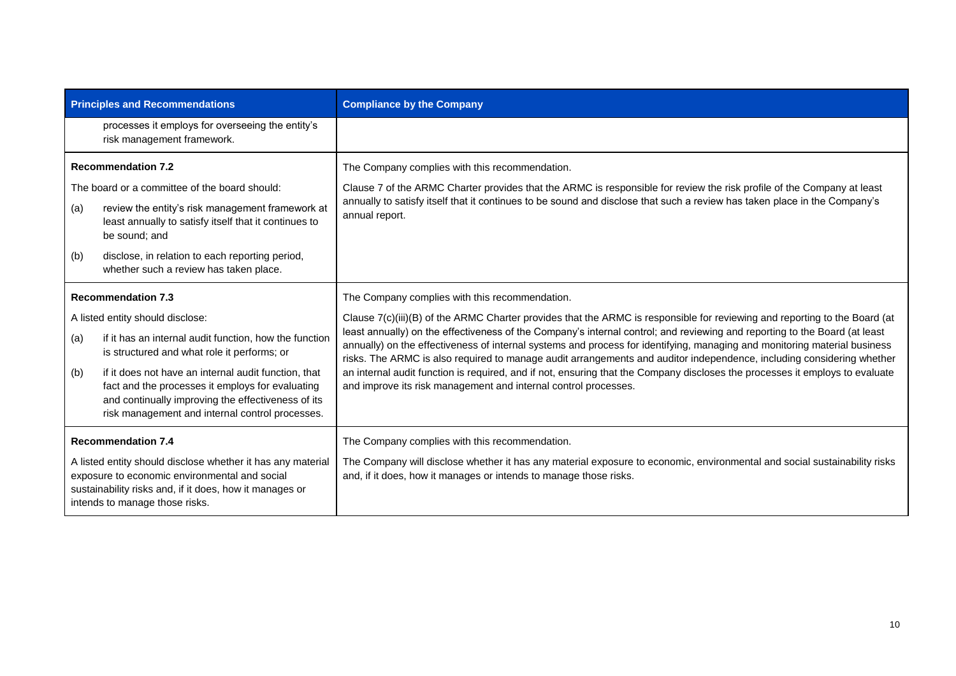| <b>Principles and Recommendations</b>                                                                                                                                                                     |                                                                                                                                                                                                                   | <b>Compliance by the Company</b>                                                                                                                                                                                                                                                                                                                                                                                                                                                                                                                                                    |
|-----------------------------------------------------------------------------------------------------------------------------------------------------------------------------------------------------------|-------------------------------------------------------------------------------------------------------------------------------------------------------------------------------------------------------------------|-------------------------------------------------------------------------------------------------------------------------------------------------------------------------------------------------------------------------------------------------------------------------------------------------------------------------------------------------------------------------------------------------------------------------------------------------------------------------------------------------------------------------------------------------------------------------------------|
|                                                                                                                                                                                                           | processes it employs for overseeing the entity's<br>risk management framework.                                                                                                                                    |                                                                                                                                                                                                                                                                                                                                                                                                                                                                                                                                                                                     |
|                                                                                                                                                                                                           | <b>Recommendation 7.2</b>                                                                                                                                                                                         | The Company complies with this recommendation.                                                                                                                                                                                                                                                                                                                                                                                                                                                                                                                                      |
|                                                                                                                                                                                                           | The board or a committee of the board should:                                                                                                                                                                     | Clause 7 of the ARMC Charter provides that the ARMC is responsible for review the risk profile of the Company at least<br>annually to satisfy itself that it continues to be sound and disclose that such a review has taken place in the Company's<br>annual report.                                                                                                                                                                                                                                                                                                               |
| (a)                                                                                                                                                                                                       | review the entity's risk management framework at<br>least annually to satisfy itself that it continues to<br>be sound; and                                                                                        |                                                                                                                                                                                                                                                                                                                                                                                                                                                                                                                                                                                     |
| (b)                                                                                                                                                                                                       | disclose, in relation to each reporting period,<br>whether such a review has taken place.                                                                                                                         |                                                                                                                                                                                                                                                                                                                                                                                                                                                                                                                                                                                     |
| <b>Recommendation 7.3</b>                                                                                                                                                                                 |                                                                                                                                                                                                                   | The Company complies with this recommendation.                                                                                                                                                                                                                                                                                                                                                                                                                                                                                                                                      |
| A listed entity should disclose:                                                                                                                                                                          |                                                                                                                                                                                                                   | Clause 7(c)(iii)(B) of the ARMC Charter provides that the ARMC is responsible for reviewing and reporting to the Board (at                                                                                                                                                                                                                                                                                                                                                                                                                                                          |
| (a)                                                                                                                                                                                                       | if it has an internal audit function, how the function<br>is structured and what role it performs; or                                                                                                             | least annually) on the effectiveness of the Company's internal control; and reviewing and reporting to the Board (at least<br>annually) on the effectiveness of internal systems and process for identifying, managing and monitoring material business<br>risks. The ARMC is also required to manage audit arrangements and auditor independence, including considering whether<br>an internal audit function is required, and if not, ensuring that the Company discloses the processes it employs to evaluate<br>and improve its risk management and internal control processes. |
| (b)                                                                                                                                                                                                       | if it does not have an internal audit function, that<br>fact and the processes it employs for evaluating<br>and continually improving the effectiveness of its<br>risk management and internal control processes. |                                                                                                                                                                                                                                                                                                                                                                                                                                                                                                                                                                                     |
| <b>Recommendation 7.4</b>                                                                                                                                                                                 |                                                                                                                                                                                                                   | The Company complies with this recommendation.                                                                                                                                                                                                                                                                                                                                                                                                                                                                                                                                      |
| A listed entity should disclose whether it has any material<br>exposure to economic environmental and social<br>sustainability risks and, if it does, how it manages or<br>intends to manage those risks. |                                                                                                                                                                                                                   | The Company will disclose whether it has any material exposure to economic, environmental and social sustainability risks<br>and, if it does, how it manages or intends to manage those risks.                                                                                                                                                                                                                                                                                                                                                                                      |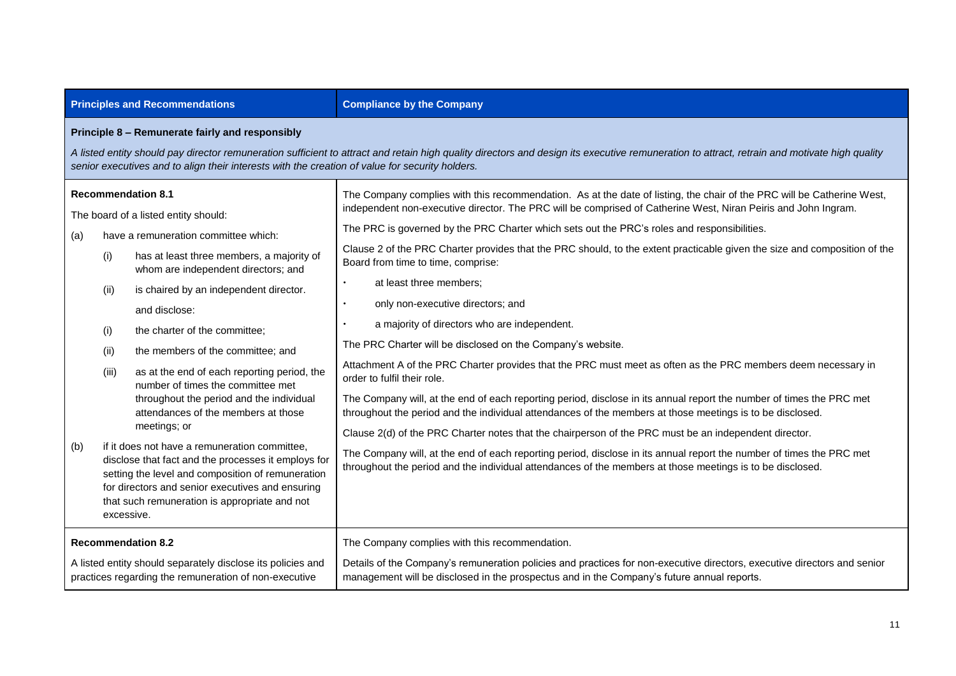| <b>Principles and Recommendations</b>                                                                                                                                                                                                                                                                                                                                                                                                                                                                                                                                                                                                                                                                                                                                                                                                                      | <b>Compliance by the Company</b>                                                                                                                                                                                                                                                                                                                                                                                                                                                                                                                                                                                                                                                                                                                                                                                                                                                                                                                                                                                                                                                                                                                                                                                                                                                                                                                                                                                             |  |
|------------------------------------------------------------------------------------------------------------------------------------------------------------------------------------------------------------------------------------------------------------------------------------------------------------------------------------------------------------------------------------------------------------------------------------------------------------------------------------------------------------------------------------------------------------------------------------------------------------------------------------------------------------------------------------------------------------------------------------------------------------------------------------------------------------------------------------------------------------|------------------------------------------------------------------------------------------------------------------------------------------------------------------------------------------------------------------------------------------------------------------------------------------------------------------------------------------------------------------------------------------------------------------------------------------------------------------------------------------------------------------------------------------------------------------------------------------------------------------------------------------------------------------------------------------------------------------------------------------------------------------------------------------------------------------------------------------------------------------------------------------------------------------------------------------------------------------------------------------------------------------------------------------------------------------------------------------------------------------------------------------------------------------------------------------------------------------------------------------------------------------------------------------------------------------------------------------------------------------------------------------------------------------------------|--|
| Principle 8 - Remunerate fairly and responsibly<br>A listed entity should pay director remuneration sufficient to attract and retain high quality directors and design its executive remuneration to attract, retrain and motivate high quality<br>senior executives and to align their interests with the creation of value for security holders.                                                                                                                                                                                                                                                                                                                                                                                                                                                                                                         |                                                                                                                                                                                                                                                                                                                                                                                                                                                                                                                                                                                                                                                                                                                                                                                                                                                                                                                                                                                                                                                                                                                                                                                                                                                                                                                                                                                                                              |  |
| <b>Recommendation 8.1</b><br>The board of a listed entity should:<br>have a remuneration committee which:<br>(a)<br>has at least three members, a majority of<br>(i)<br>whom are independent directors; and<br>is chaired by an independent director.<br>(ii)<br>and disclose:<br>the charter of the committee;<br>(i)<br>the members of the committee; and<br>(ii)<br>as at the end of each reporting period, the<br>(iii)<br>number of times the committee met<br>throughout the period and the individual<br>attendances of the members at those<br>meetings; or<br>if it does not have a remuneration committee,<br>(b)<br>disclose that fact and the processes it employs for<br>setting the level and composition of remuneration<br>for directors and senior executives and ensuring<br>that such remuneration is appropriate and not<br>excessive. | The Company complies with this recommendation. As at the date of listing, the chair of the PRC will be Catherine West,<br>independent non-executive director. The PRC will be comprised of Catherine West, Niran Peiris and John Ingram.<br>The PRC is governed by the PRC Charter which sets out the PRC's roles and responsibilities.<br>Clause 2 of the PRC Charter provides that the PRC should, to the extent practicable given the size and composition of the<br>Board from time to time, comprise:<br>at least three members;<br>only non-executive directors; and<br>a majority of directors who are independent.<br>The PRC Charter will be disclosed on the Company's website.<br>Attachment A of the PRC Charter provides that the PRC must meet as often as the PRC members deem necessary in<br>order to fulfil their role.<br>The Company will, at the end of each reporting period, disclose in its annual report the number of times the PRC met<br>throughout the period and the individual attendances of the members at those meetings is to be disclosed.<br>Clause 2(d) of the PRC Charter notes that the chairperson of the PRC must be an independent director.<br>The Company will, at the end of each reporting period, disclose in its annual report the number of times the PRC met<br>throughout the period and the individual attendances of the members at those meetings is to be disclosed. |  |
| <b>Recommendation 8.2</b><br>A listed entity should separately disclose its policies and<br>practices regarding the remuneration of non-executive                                                                                                                                                                                                                                                                                                                                                                                                                                                                                                                                                                                                                                                                                                          | The Company complies with this recommendation.<br>Details of the Company's remuneration policies and practices for non-executive directors, executive directors and senior<br>management will be disclosed in the prospectus and in the Company's future annual reports.                                                                                                                                                                                                                                                                                                                                                                                                                                                                                                                                                                                                                                                                                                                                                                                                                                                                                                                                                                                                                                                                                                                                                     |  |